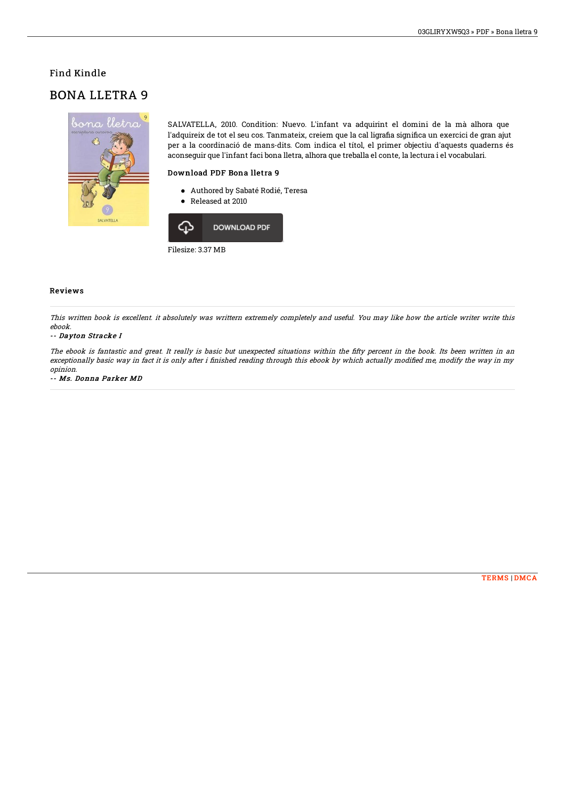## Find Kindle

## BONA LLETRA 9



SALVATELLA, 2010. Condition: Nuevo. L'infant va adquirint el domini de la mà alhora que l'adquireix de tot el seu cos. Tanmateix, creiem que la cal ligrafia significa un exercici de gran ajut per a la coordinació de mans-dits. Com indica el títol, el primer objectiu d'aquests quaderns és aconseguir que l'infant faci bona lletra, alhora que treballa el conte, la lectura i el vocabulari.

### Download PDF Bona lletra 9

- Authored by Sabaté Rodié, Teresa
- Released at 2010



### Reviews

This written book is excellent. it absolutely was writtern extremely completely and useful. You may like how the article writer write this ebook.

#### -- Dayton Stracke I

The ebook is fantastic and great. It really is basic but unexpected situations within the fifty percent in the book. Its been written in an exceptionally basic way in fact it is only after i finished reading through this ebook by which actually modified me, modify the way in my opinion.

-- Ms. Donna Parker MD